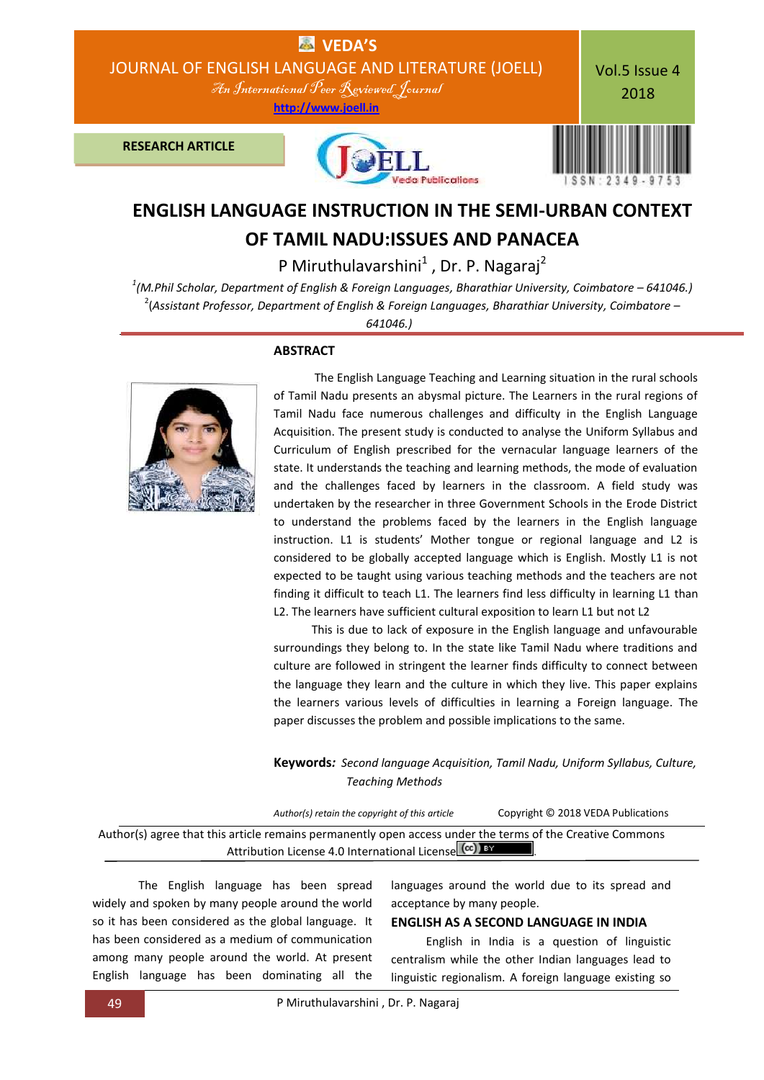

# **ENGLISH LANGUAGE INSTRUCTION IN THE SEMI-URBAN CONTEXT OF TAMIL NADU:ISSUES AND PANACEA**

P Miruthulavarshini $^1$  , Dr. P. Nagaraj<sup>2</sup>

*1 (M.Phil Scholar, Department of English & Foreign Languages, Bharathiar University, Coimbatore – 641046.)* 2 (*Assistant Professor, Department of English & Foreign Languages, Bharathiar University, Coimbatore –*

*641046.)*

**ABSTRACT**



 The English Language Teaching and Learning situation in the rural schools of Tamil Nadu presents an abysmal picture. The Learners in the rural regions of Tamil Nadu face numerous challenges and difficulty in the English Language Acquisition. The present study is conducted to analyse the Uniform Syllabus and Curriculum of English prescribed for the vernacular language learners of the state. It understands the teaching and learning methods, the mode of evaluation and the challenges faced by learners in the classroom. A field study was undertaken by the researcher in three Government Schools in the Erode District to understand the problems faced by the learners in the English language instruction. L1 is students' Mother tongue or regional language and L2 is considered to be globally accepted language which is English. Mostly L1 is not expected to be taught using various teaching methods and the teachers are not finding it difficult to teach L1. The learners find less difficulty in learning L1 than L2. The learners have sufficient cultural exposition to learn L1 but not L2

 This is due to lack of exposure in the English language and unfavourable surroundings they belong to. In the state like Tamil Nadu where traditions and culture are followed in stringent the learner finds difficulty to connect between the language they learn and the culture in which they live. This paper explains the learners various levels of difficulties in learning a Foreign language. The paper discusses the problem and possible implications to the same.

**Keywords***: Second language Acquisition, Tamil Nadu, Uniform Syllabus, Culture, Teaching Methods*

*Author(s) retain the copyright of this article* Copyright © 2018 VEDA Publications

Author(s) agree that this article remains permanently open access under the terms of the Creative Commons Attribution License 4.0 International License CCC) BY

The English language has been spread widely and spoken by many people around the world so it has been considered as the global language. It has been considered as a medium of communication among many people around the world. At present English language has been dominating all the

languages around the world due to its spread and acceptance by many people.

### **ENGLISH AS A SECOND LANGUAGE IN INDIA**

 English in India is a question of linguistic centralism while the other Indian languages lead to linguistic regionalism. A foreign language existing so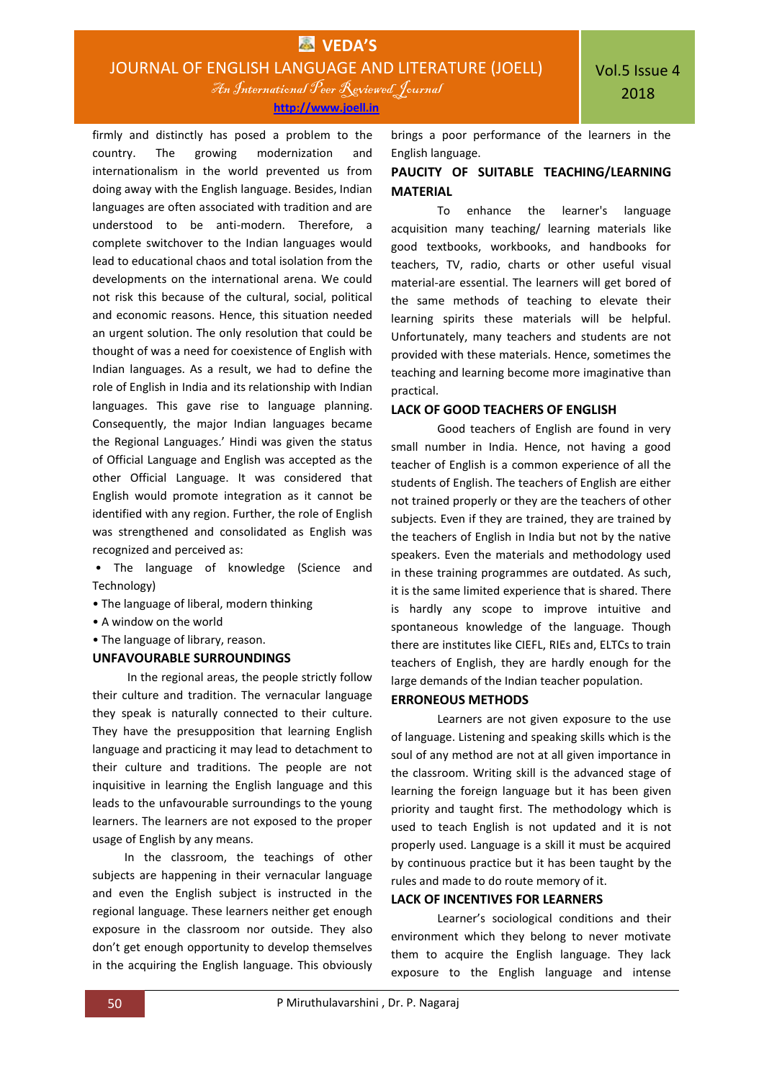**[http://www.joell.in](http://www.joell.in/)**

firmly and distinctly has posed a problem to the country. The growing modernization and internationalism in the world prevented us from doing away with the English language. Besides, Indian languages are often associated with tradition and are understood to be anti-modern. Therefore, a complete switchover to the Indian languages would lead to educational chaos and total isolation from the developments on the international arena. We could not risk this because of the cultural, social, political and economic reasons. Hence, this situation needed an urgent solution. The only resolution that could be thought of was a need for coexistence of English with Indian languages. As a result, we had to define the role of English in India and its relationship with Indian languages. This gave rise to language planning. Consequently, the major Indian languages became the Regional Languages.' Hindi was given the status of Official Language and English was accepted as the other Official Language. It was considered that English would promote integration as it cannot be identified with any region. Further, the role of English was strengthened and consolidated as English was recognized and perceived as:

- The language of knowledge (Science and Technology)
- The language of liberal, modern thinking
- A window on the world
- The language of library, reason.

### **UNFAVOURABLE SURROUNDINGS**

 In the regional areas, the people strictly follow their culture and tradition. The vernacular language they speak is naturally connected to their culture. They have the presupposition that learning English language and practicing it may lead to detachment to their culture and traditions. The people are not inquisitive in learning the English language and this leads to the unfavourable surroundings to the young learners. The learners are not exposed to the proper usage of English by any means.

 In the classroom, the teachings of other subjects are happening in their vernacular language and even the English subject is instructed in the regional language. These learners neither get enough exposure in the classroom nor outside. They also don't get enough opportunity to develop themselves in the acquiring the English language. This obviously

brings a poor performance of the learners in the English language.

# **PAUCITY OF SUITABLE TEACHING/LEARNING MATERIAL**

To enhance the learner's language acquisition many teaching/ learning materials like good textbooks, workbooks, and handbooks for teachers, TV, radio, charts or other useful visual material-are essential. The learners will get bored of the same methods of teaching to elevate their learning spirits these materials will be helpful. Unfortunately, many teachers and students are not provided with these materials. Hence, sometimes the teaching and learning become more imaginative than practical.

# **LACK OF GOOD TEACHERS OF ENGLISH**

Good teachers of English are found in very small number in India. Hence, not having a good teacher of English is a common experience of all the students of English. The teachers of English are either not trained properly or they are the teachers of other subjects. Even if they are trained, they are trained by the teachers of English in India but not by the native speakers. Even the materials and methodology used in these training programmes are outdated. As such, it is the same limited experience that is shared. There is hardly any scope to improve intuitive and spontaneous knowledge of the language. Though there are institutes like CIEFL, RIEs and, ELTCs to train teachers of English, they are hardly enough for the large demands of the Indian teacher population.

### **ERRONEOUS METHODS**

Learners are not given exposure to the use of language. Listening and speaking skills which is the soul of any method are not at all given importance in the classroom. Writing skill is the advanced stage of learning the foreign language but it has been given priority and taught first. The methodology which is used to teach English is not updated and it is not properly used. Language is a skill it must be acquired by continuous practice but it has been taught by the rules and made to do route memory of it.

# **LACK OF INCENTIVES FOR LEARNERS**

Learner's sociological conditions and their environment which they belong to never motivate them to acquire the English language. They lack exposure to the English language and intense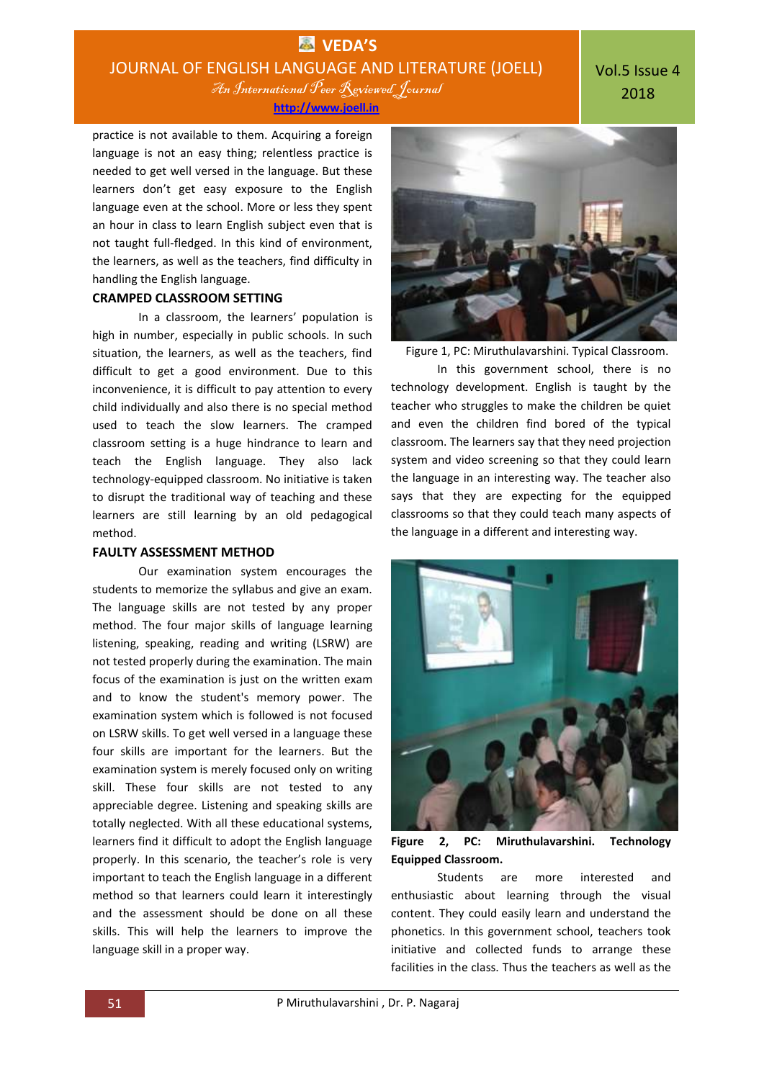# **VEDA'S** JOURNAL OF ENGLISH LANGUAGE AND LITERATURE (JOELL) An International Peer Reviewed Journal

# Vol.5 Issue 4 2018

**[http://www.joell.in](http://www.joell.in/)**

practice is not available to them. Acquiring a foreign language is not an easy thing; relentless practice is needed to get well versed in the language. But these learners don't get easy exposure to the English language even at the school. More or less they spent an hour in class to learn English subject even that is not taught full-fledged. In this kind of environment, the learners, as well as the teachers, find difficulty in handling the English language.

# **CRAMPED CLASSROOM SETTING**

In a classroom, the learners' population is high in number, especially in public schools. In such situation, the learners, as well as the teachers, find difficult to get a good environment. Due to this inconvenience, it is difficult to pay attention to every child individually and also there is no special method used to teach the slow learners. The cramped classroom setting is a huge hindrance to learn and teach the English language. They also lack technology-equipped classroom. No initiative is taken to disrupt the traditional way of teaching and these learners are still learning by an old pedagogical method.

### **FAULTY ASSESSMENT METHOD**

Our examination system encourages the students to memorize the syllabus and give an exam. The language skills are not tested by any proper method. The four major skills of language learning listening, speaking, reading and writing (LSRW) are not tested properly during the examination. The main focus of the examination is just on the written exam and to know the student's memory power. The examination system which is followed is not focused on LSRW skills. To get well versed in a language these four skills are important for the learners. But the examination system is merely focused only on writing skill. These four skills are not tested to any appreciable degree. Listening and speaking skills are totally neglected. With all these educational systems, learners find it difficult to adopt the English language properly. In this scenario, the teacher's role is very important to teach the English language in a different method so that learners could learn it interestingly and the assessment should be done on all these skills. This will help the learners to improve the language skill in a proper way.



Figure 1, PC: Miruthulavarshini. Typical Classroom.

In this government school, there is no technology development. English is taught by the teacher who struggles to make the children be quiet and even the children find bored of the typical classroom. The learners say that they need projection system and video screening so that they could learn the language in an interesting way. The teacher also says that they are expecting for the equipped classrooms so that they could teach many aspects of the language in a different and interesting way.



**Figure 2, PC: Miruthulavarshini. Technology Equipped Classroom.**

Students are more interested and enthusiastic about learning through the visual content. They could easily learn and understand the phonetics. In this government school, teachers took initiative and collected funds to arrange these facilities in the class. Thus the teachers as well as the